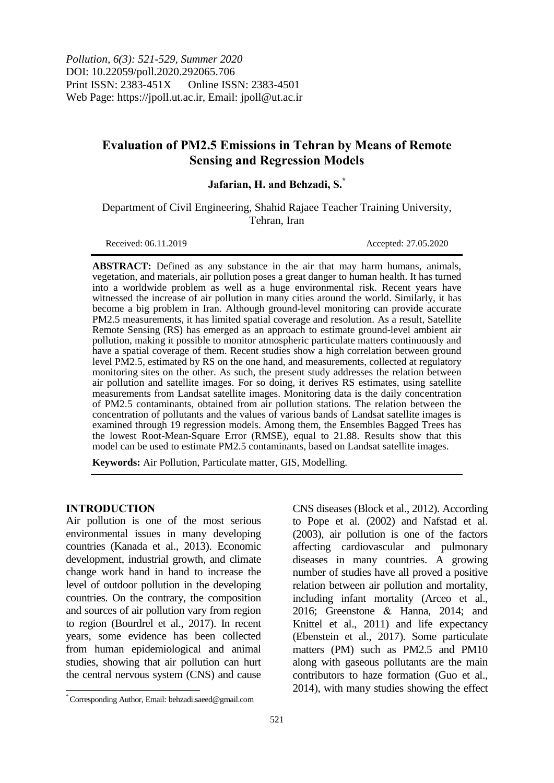*Pollution, 6(3): 521-529, Summer 2020* DOI: 10.22059/poll.2020.292065.706 Print ISSN: 2383-451X Online ISSN: 2383-4501 Web Page: https://jpoll.ut.ac.ir, Email: jpoll@ut.ac.ir

# **Evaluation of PM2.5 Emissions in Tehran by Means of Remote Sensing and Regression Models**

## **Jafarian, H. and Behzadi, S.\***

Department of Civil Engineering, Shahid Rajaee Teacher Training University, Tehran, Iran

Received: 06.11.2019 Accepted: 27.05.2020

**ABSTRACT:** Defined as any substance in the air that may harm humans, animals, vegetation, and materials, air pollution poses a great danger to human health. It has turned into a worldwide problem as well as a huge environmental risk. Recent years have witnessed the increase of air pollution in many cities around the world. Similarly, it has become a big problem in Iran. Although ground-level monitoring can provide accurate PM2.5 measurements, it has limited spatial coverage and resolution. As a result, Satellite Remote Sensing (RS) has emerged as an approach to estimate ground-level ambient air pollution, making it possible to monitor atmospheric particulate matters continuously and have a spatial coverage of them. Recent studies show a high correlation between ground level PM2.5, estimated by RS on the one hand, and measurements, collected at regulatory monitoring sites on the other. As such, the present study addresses the relation between air pollution and satellite images. For so doing, it derives RS estimates, using satellite measurements from Landsat satellite images. Monitoring data is the daily concentration of PM2.5 contaminants, obtained from air pollution stations. The relation between the concentration of pollutants and the values of various bands of Landsat satellite images is examined through 19 regression models. Among them, the Ensembles Bagged Trees has the lowest Root-Mean-Square Error (RMSE), equal to 21.88. Results show that this model can be used to estimate PM2.5 contaminants, based on Landsat satellite images.

**Keywords:** Air Pollution, Particulate matter, GIS, Modelling.

#### **INTRODUCTION**

 $\overline{a}$ 

Air pollution is one of the most serious environmental issues in many developing countries (Kanada et al., 2013). Economic development, industrial growth, and climate change work hand in hand to increase the level of outdoor pollution in the developing countries. On the contrary, the composition and sources of air pollution vary from region to region (Bourdrel et al., 2017). In recent years, some evidence has been collected from human epidemiological and animal studies, showing that air pollution can hurt the central nervous system (CNS) and cause

CNS diseases (Block et al., 2012). According to Pope et al. (2002) and Nafstad et al. (2003), air pollution is one of the factors affecting cardiovascular and pulmonary diseases in many countries. A growing number of studies have all proved a positive relation between air pollution and mortality, including infant mortality (Arceo et al., 2016; Greenstone & Hanna, 2014; and Knittel et al., 2011) and life expectancy (Ebenstein et al., 2017). Some particulate matters (PM) such as PM2.5 and PM10 along with gaseous pollutants are the main contributors to haze formation (Guo et al., 2014), with many studies showing the effect

<sup>\*</sup> Corresponding Author, Email: behzadi.saeed@gmail.com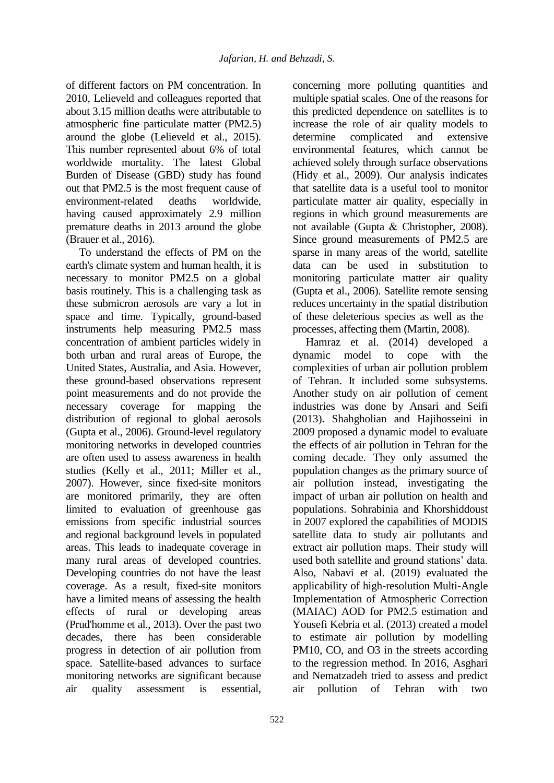of different factors on PM concentration. In 2010, Lelieveld and colleagues reported that about 3.15 million deaths were attributable to atmospheric fine particulate matter (PM2.5) around the globe (Lelieveld et al., 2015). This number represented about 6% of total worldwide mortality. The latest Global Burden of Disease (GBD) study has found out that PM2.5 is the most frequent cause of environment-related deaths worldwide, having caused approximately 2.9 million premature deaths in 2013 around the globe (Brauer et al., 2016).

To understand the effects of PM on the earth's climate system and human health, it is necessary to monitor PM2.5 on a global basis routinely. This is a challenging task as these submicron aerosols are vary a lot in space and time. Typically, ground-based instruments help measuring PM2.5 mass concentration of ambient particles widely in both urban and rural areas of Europe, the United States, Australia, and Asia. However, these ground-based observations represent point measurements and do not provide the necessary coverage for mapping the distribution of regional to global aerosols (Gupta et al., 2006). Ground-level regulatory monitoring networks in developed countries are often used to assess awareness in health studies (Kelly et al., 2011; Miller et al., 2007). However, since fixed-site monitors are monitored primarily, they are often limited to evaluation of greenhouse gas emissions from specific industrial sources and regional background levels in populated areas. This leads to inadequate coverage in many rural areas of developed countries. Developing countries do not have the least coverage. As a result, fixed-site monitors have a limited means of assessing the health effects of rural or developing areas (Prud'homme et al., 2013). Over the past two decades, there has been considerable progress in detection of air pollution from space. Satellite-based advances to surface monitoring networks are significant because air quality assessment is essential,

concerning more polluting quantities and multiple spatial scales. One of the reasons for this predicted dependence on satellites is to increase the role of air quality models to determine complicated and extensive environmental features, which cannot be achieved solely through surface observations (Hidy et al., 2009). Our analysis indicates that satellite data is a useful tool to monitor particulate matter air quality, especially in regions in which ground measurements are not available (Gupta & Christopher, 2008). Since ground measurements of PM2.5 are sparse in many areas of the world, satellite data can be used in substitution to monitoring particulate matter air quality (Gupta et al., 2006). Satellite remote sensing reduces uncertainty in the spatial distribution of these deleterious species as well as the processes, affecting them (Martin, 2008).

Hamraz et al. (2014) developed a dynamic model to cope with the complexities of urban air pollution problem of Tehran. It included some subsystems. Another study on air pollution of cement industries was done by Ansari and Seifi (2013). Shahgholian and Hajihosseini in 2009 proposed a dynamic model to evaluate the effects of air pollution in Tehran for the coming decade. They only assumed the population changes as the primary source of air pollution instead, investigating the impact of urban air pollution on health and populations. Sohrabinia and Khorshiddoust in 2007 explored the capabilities of MODIS satellite data to study air pollutants and extract air pollution maps. Their study will used both satellite and ground stations' data. Also, Nabavi et al. (2019) evaluated the applicability of high-resolution Multi-Angle Implementation of Atmospheric Correction (MAIAC) AOD for PM2.5 estimation and Yousefi Kebria et al. (2013) created a model to estimate air pollution by modelling PM10, CO, and O3 in the streets according to the regression method. In 2016, Asghari and Nematzadeh tried to assess and predict air pollution of Tehran with two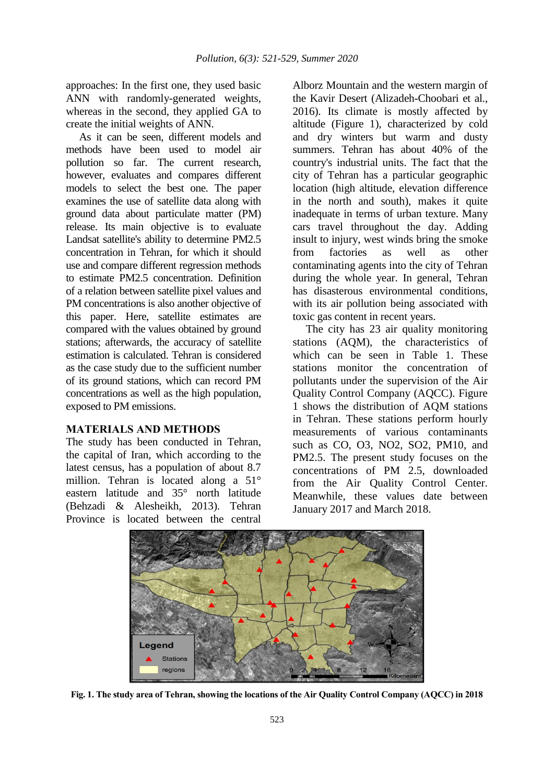approaches: In the first one, they used basic ANN with randomly-generated weights, whereas in the second, they applied GA to create the initial weights of ANN.

As it can be seen, different models and methods have been used to model air pollution so far. The current research, however, evaluates and compares different models to select the best one. The paper examines the use of satellite data along with ground data about particulate matter (PM) release. Its main objective is to evaluate Landsat satellite's ability to determine PM2.5 concentration in Tehran, for which it should use and compare different regression methods to estimate PM2.5 concentration. Definition of a relation between satellite pixel values and PM concentrations is also another objective of this paper. Here, satellite estimates are compared with the values obtained by ground stations; afterwards, the accuracy of satellite estimation is calculated. Tehran is considered as the case study due to the sufficient number of its ground stations, which can record PM concentrations as well as the high population, exposed to PM emissions.

#### **MATERIALS AND METHODS**

The study has been conducted in Tehran, the capital of Iran, which according to the latest census, has a population of about 8.7 million. Tehran is located along a 51° eastern latitude and 35° north latitude (Behzadi & Alesheikh, 2013). Tehran Province is located between the central

Alborz Mountain and the western margin of the Kavir Desert (Alizadeh-Choobari et al., 2016). Its climate is mostly affected by altitude (Figure 1), characterized by cold and dry winters but warm and dusty summers. Tehran has about 40% of the country's industrial units. The fact that the city of Tehran has a particular geographic location (high altitude, elevation difference in the north and south), makes it quite inadequate in terms of urban texture. Many cars travel throughout the day. Adding insult to injury, west winds bring the smoke from factories as well as other contaminating agents into the city of Tehran during the whole year. In general, Tehran has disasterous environmental conditions, with its air pollution being associated with toxic gas content in recent years.

The city has 23 air quality monitoring stations (AQM), the characteristics of which can be seen in Table 1. These stations monitor the concentration of pollutants under the supervision of the Air Quality Control Company (AQCC). Figure 1 shows the distribution of AQM stations in Tehran. These stations perform hourly measurements of various contaminants such as CO, O3, NO2, SO2, PM10, and PM2.5. The present study focuses on the concentrations of PM 2.5, downloaded from the Air Quality Control Center. Meanwhile, these values date between January 2017 and March 2018.



**Fig. 1. The study area of Tehran, showing the locations of the Air Quality Control Company (AQCC) in 2018**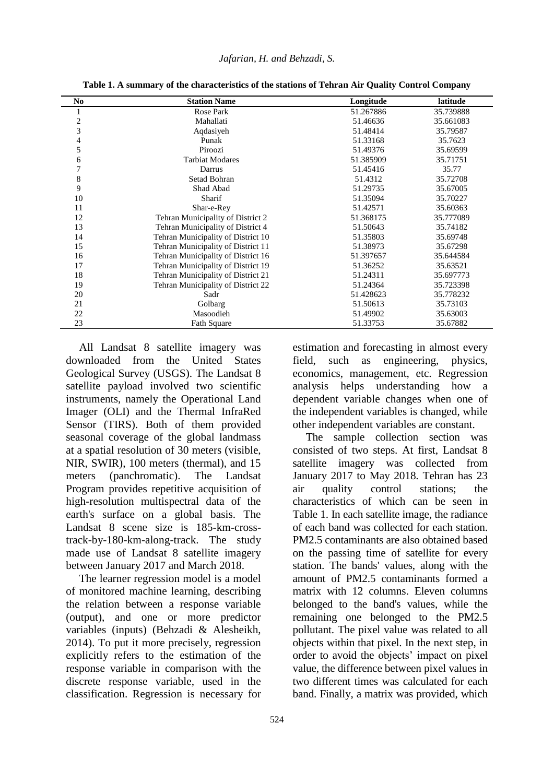| N <sub>0</sub> | <b>Station Name</b>                | Longitude | latitude  |
|----------------|------------------------------------|-----------|-----------|
| ш              | <b>Rose Park</b>                   | 51.267886 | 35.739888 |
| $\overline{c}$ | Mahallati                          | 51.46636  | 35.661083 |
| 3              | Aqdasiyeh                          | 51.48414  | 35.79587  |
| 4              | Punak                              | 51.33168  | 35.7623   |
| 5              | Piroozi                            | 51.49376  | 35.69599  |
| 6              | <b>Tarbiat Modares</b>             | 51.385909 | 35.71751  |
| 7              | Darrus                             | 51.45416  | 35.77     |
| 8              | Setad Bohran                       | 51.4312   | 35.72708  |
| 9              | Shad Abad                          | 51.29735  | 35.67005  |
| 10             | Sharif                             | 51.35094  | 35.70227  |
| 11             | Shar-e-Rey                         | 51.42571  | 35.60363  |
| 12             | Tehran Municipality of District 2  | 51.368175 | 35.777089 |
| 13             | Tehran Municipality of District 4  | 51.50643  | 35.74182  |
| 14             | Tehran Municipality of District 10 | 51.35803  | 35.69748  |
| 15             | Tehran Municipality of District 11 | 51.38973  | 35.67298  |
| 16             | Tehran Municipality of District 16 | 51.397657 | 35.644584 |
| 17             | Tehran Municipality of District 19 | 51.36252  | 35.63521  |
| 18             | Tehran Municipality of District 21 | 51.24311  | 35.697773 |
| 19             | Tehran Municipality of District 22 | 51.24364  | 35.723398 |
| 20             | Sadr                               | 51.428623 | 35.778232 |
| 21             | Golbarg                            | 51.50613  | 35.73103  |
| 22             | Masoodieh                          | 51.49902  | 35.63003  |
| 23             | Fath Square                        | 51.33753  | 35.67882  |

**Table 1. A summary of the characteristics of the stations of Tehran Air Quality Control Company**

All Landsat 8 satellite imagery was downloaded from the United States Geological Survey (USGS). The Landsat 8 satellite payload involved two scientific instruments, namely the Operational Land Imager (OLI) and the Thermal InfraRed Sensor (TIRS). Both of them provided seasonal coverage of the global landmass at a spatial resolution of 30 meters (visible, NIR, SWIR), 100 meters (thermal), and 15 meters (panchromatic). The Landsat Program provides repetitive acquisition of high-resolution multispectral data of the earth's surface on a global basis. The Landsat 8 scene size is 185-km-crosstrack-by-180-km-along-track. The study made use of Landsat 8 satellite imagery between January 2017 and March 2018.

The learner regression model is a model of monitored machine learning, describing the relation between a response variable (output), and one or more predictor variables (inputs) (Behzadi & Alesheikh, 2014). To put it more precisely, regression explicitly refers to the estimation of the response variable in comparison with the discrete response variable, used in the classification. Regression is necessary for

estimation and forecasting in almost every field, such as engineering, physics, economics, management, etc. Regression analysis helps understanding how a dependent variable changes when one of the independent variables is changed, while other independent variables are constant.

The sample collection section was consisted of two steps. At first, Landsat 8 satellite imagery was collected from January 2017 to May 2018. Tehran has 23 air quality control stations; the characteristics of which can be seen in Table 1. In each satellite image, the radiance of each band was collected for each station. PM2.5 contaminants are also obtained based on the passing time of satellite for every station. The bands' values, along with the amount of PM2.5 contaminants formed a matrix with 12 columns. Eleven columns belonged to the band's values, while the remaining one belonged to the PM2.5 pollutant. The pixel value was related to all objects within that pixel. In the next step, in order to avoid the objects' impact on pixel value, the difference between pixel values in two different times was calculated for each band. Finally, a matrix was provided, which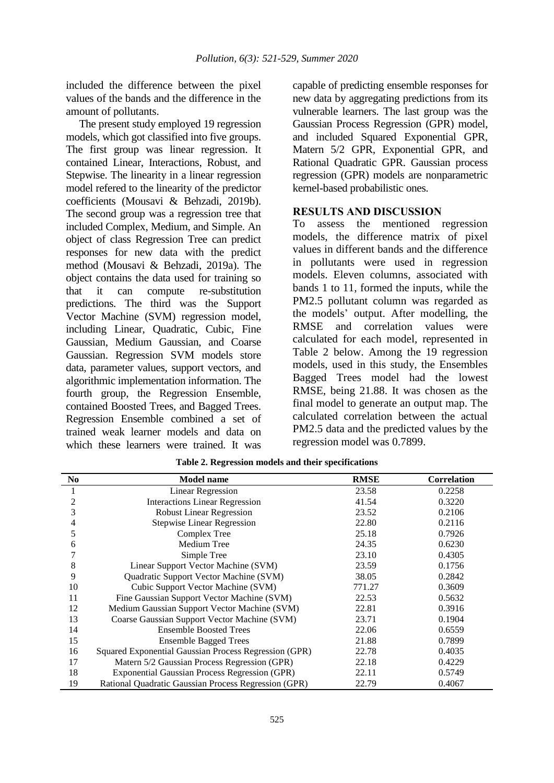included the difference between the pixel values of the bands and the difference in the amount of pollutants.

The present study employed 19 regression models, which got classified into five groups. The first group was linear regression. It contained Linear, Interactions, Robust, and Stepwise. The linearity in a linear regression model refered to the linearity of the predictor coefficients (Mousavi & Behzadi, 2019b). The second group was a regression tree that included Complex, Medium, and Simple. An object of class Regression Tree can predict responses for new data with the predict method (Mousavi & Behzadi, 2019a). The object contains the data used for training so that it can compute re-substitution predictions. The third was the Support Vector Machine (SVM) regression model, including Linear, Quadratic, Cubic, Fine Gaussian, Medium Gaussian, and Coarse Gaussian. Regression SVM models store data, parameter values, support vectors, and algorithmic implementation information. The fourth group, the Regression Ensemble, contained Boosted Trees, and Bagged Trees. Regression Ensemble combined a set of trained weak learner models and data on which these learners were trained. It was

capable of predicting ensemble responses for new data by aggregating predictions from its vulnerable learners. The last group was the Gaussian Process Regression (GPR) model, and included Squared Exponential GPR, Matern 5/2 GPR, Exponential GPR, and Rational Quadratic GPR. Gaussian process regression (GPR) models are nonparametric kernel-based probabilistic ones.

#### **RESULTS AND DISCUSSION**

To assess the mentioned regression models, the difference matrix of pixel values in different bands and the difference in pollutants were used in regression models. Eleven columns, associated with bands 1 to 11, formed the inputs, while the PM2.5 pollutant column was regarded as the models' output. After modelling, the RMSE and correlation values were calculated for each model, represented in Table 2 below. Among the 19 regression models, used in this study, the Ensembles Bagged Trees model had the lowest RMSE, being 21.88. It was chosen as the final model to generate an output map. The calculated correlation between the actual PM2.5 data and the predicted values by the regression model was 0.7899.

| N <sub>0</sub> | <b>Model name</b>                                     | <b>RMSE</b> | <b>Correlation</b> |
|----------------|-------------------------------------------------------|-------------|--------------------|
|                | Linear Regression                                     | 23.58       | 0.2258             |
| 2              | <b>Interactions Linear Regression</b>                 | 41.54       | 0.3220             |
| 3              | <b>Robust Linear Regression</b>                       | 23.52       | 0.2106             |
| 4              | <b>Stepwise Linear Regression</b>                     | 22.80       | 0.2116             |
| 5              | Complex Tree                                          | 25.18       | 0.7926             |
| 6              | Medium Tree                                           | 24.35       | 0.6230             |
|                | Simple Tree                                           | 23.10       | 0.4305             |
| 8              | Linear Support Vector Machine (SVM)                   | 23.59       | 0.1756             |
| 9              | Quadratic Support Vector Machine (SVM)                | 38.05       | 0.2842             |
| 10             | Cubic Support Vector Machine (SVM)                    | 771.27      | 0.3609             |
| 11             | Fine Gaussian Support Vector Machine (SVM)            | 22.53       | 0.5632             |
| 12             | Medium Gaussian Support Vector Machine (SVM)          | 22.81       | 0.3916             |
| 13             | Coarse Gaussian Support Vector Machine (SVM)          | 23.71       | 0.1904             |
| 14             | <b>Ensemble Boosted Trees</b>                         | 22.06       | 0.6559             |
| 15             | <b>Ensemble Bagged Trees</b>                          | 21.88       | 0.7899             |
| 16             | Squared Exponential Gaussian Process Regression (GPR) | 22.78       | 0.4035             |
| 17             | Matern 5/2 Gaussian Process Regression (GPR)          | 22.18       | 0.4229             |
| 18             | <b>Exponential Gaussian Process Regression (GPR)</b>  | 22.11       | 0.5749             |
| 19             | Rational Quadratic Gaussian Process Regression (GPR)  | 22.79       | 0.4067             |

**Table 2. Regression models and their specifications**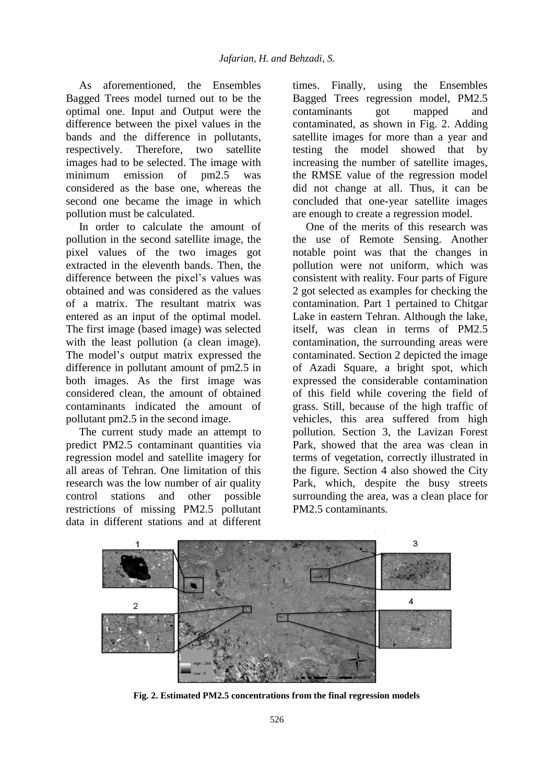As aforementioned, the Ensembles Bagged Trees model turned out to be the optimal one. Input and Output were the difference between the pixel values in the bands and the difference in pollutants, respectively. Therefore, two satellite images had to be selected. The image with minimum emission of pm2.5 was considered as the base one, whereas the second one became the image in which pollution must be calculated.

In order to calculate the amount of pollution in the second satellite image, the pixel values of the two images got extracted in the eleventh bands. Then, the difference between the pixel's values was obtained and was considered as the values of a matrix. The resultant matrix was entered as an input of the optimal model. The first image (based image) was selected with the least pollution (a clean image). The model's output matrix expressed the difference in pollutant amount of pm2.5 in both images. As the first image was considered clean, the amount of obtained contaminants indicated the amount of pollutant pm2.5 in the second image.

The current study made an attempt to predict PM2.5 contaminant quantities via regression model and satellite imagery for all areas of Tehran. One limitation of this research was the low number of air quality control stations and other possible restrictions of missing PM2.5 pollutant data in different stations and at different

times. Finally, using the Ensembles Bagged Trees regression model, PM2.5 contaminants got mapped and contaminated, as shown in Fig. 2. Adding satellite images for more than a year and testing the model showed that by increasing the number of satellite images, the RMSE value of the regression model did not change at all. Thus, it can be concluded that one-year satellite images are enough to create a regression model.

One of the merits of this research was the use of Remote Sensing. Another notable point was that the changes in pollution were not uniform, which was consistent with reality. Four parts of Figure 2 got selected as examples for checking the contamination. Part 1 pertained to Chitgar Lake in eastern Tehran. Although the lake, itself, was clean in terms of PM2.5 contamination, the surrounding areas were contaminated. Section 2 depicted the image of Azadi Square, a bright spot, which expressed the considerable contamination of this field while covering the field of grass. Still, because of the high traffic of vehicles, this area suffered from high pollution. Section 3, the Lavizan Forest Park, showed that the area was clean in terms of vegetation, correctly illustrated in the figure. Section 4 also showed the City Park, which, despite the busy streets surrounding the area, was a clean place for PM2.5 contaminants.



**Fig. 2. Estimated PM2.5 concentrations from the final regression models**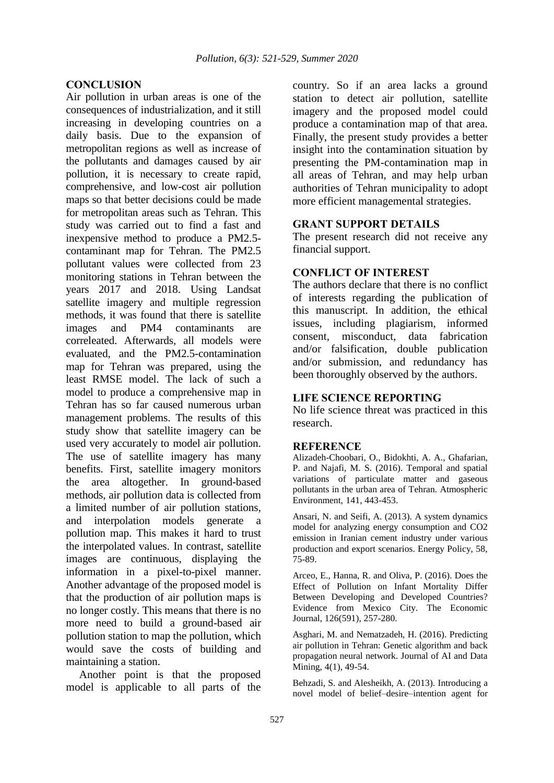## **CONCLUSION**

Air pollution in urban areas is one of the consequences of industrialization, and it still increasing in developing countries on a daily basis. Due to the expansion of metropolitan regions as well as increase of the pollutants and damages caused by air pollution, it is necessary to create rapid, comprehensive, and low-cost air pollution maps so that better decisions could be made for metropolitan areas such as Tehran. This study was carried out to find a fast and inexpensive method to produce a PM2.5 contaminant map for Tehran. The PM2.5 pollutant values were collected from 23 monitoring stations in Tehran between the years 2017 and 2018. Using Landsat satellite imagery and multiple regression methods, it was found that there is satellite images and PM4 contaminants are correleated. Afterwards, all models were evaluated, and the PM2.5-contamination map for Tehran was prepared, using the least RMSE model. The lack of such a model to produce a comprehensive map in Tehran has so far caused numerous urban management problems. The results of this study show that satellite imagery can be used very accurately to model air pollution. The use of satellite imagery has many benefits. First, satellite imagery monitors the area altogether. In ground-based methods, air pollution data is collected from a limited number of air pollution stations, and interpolation models generate a pollution map. This makes it hard to trust the interpolated values. In contrast, satellite images are continuous, displaying the information in a pixel-to-pixel manner. Another advantage of the proposed model is that the production of air pollution maps is no longer costly. This means that there is no more need to build a ground-based air pollution station to map the pollution, which would save the costs of building and maintaining a station.

Another point is that the proposed model is applicable to all parts of the

country. So if an area lacks a ground station to detect air pollution, satellite imagery and the proposed model could produce a contamination map of that area. Finally, the present study provides a better insight into the contamination situation by presenting the PM-contamination map in all areas of Tehran, and may help urban authorities of Tehran municipality to adopt more efficient managemental strategies.

#### **GRANT SUPPORT DETAILS**

The present research did not receive any financial support.

## **CONFLICT OF INTEREST**

The authors declare that there is no conflict of interests regarding the publication of this manuscript. In addition, the ethical issues, including plagiarism, informed consent, misconduct, data fabrication and/or falsification, double publication and/or submission, and redundancy has been thoroughly observed by the authors.

## **LIFE SCIENCE REPORTING**

No life science threat was practiced in this research.

#### **REFERENCE**

Alizadeh-Choobari, O., Bidokhti, A. A., Ghafarian, P. and Najafi, M. S. (2016). Temporal and spatial variations of particulate matter and gaseous pollutants in the urban area of Tehran. Atmospheric Environment, 141, 443-453.

Ansari, N. and Seifi, A. (2013). A system dynamics model for analyzing energy consumption and CO2 emission in Iranian cement industry under various production and export scenarios. Energy Policy, 58, 75-89.

Arceo, E., Hanna, R. and Oliva, P. (2016). Does the Effect of Pollution on Infant Mortality Differ Between Developing and Developed Countries? Evidence from Mexico City. The Economic Journal, 126(591), 257-280.

Asghari, M. and Nematzadeh, H. (2016). Predicting air pollution in Tehran: Genetic algorithm and back propagation neural network. Journal of AI and Data Mining, 4(1), 49-54.

Behzadi, S. and Alesheikh, A. (2013). Introducing a novel model of belief–desire–intention agent for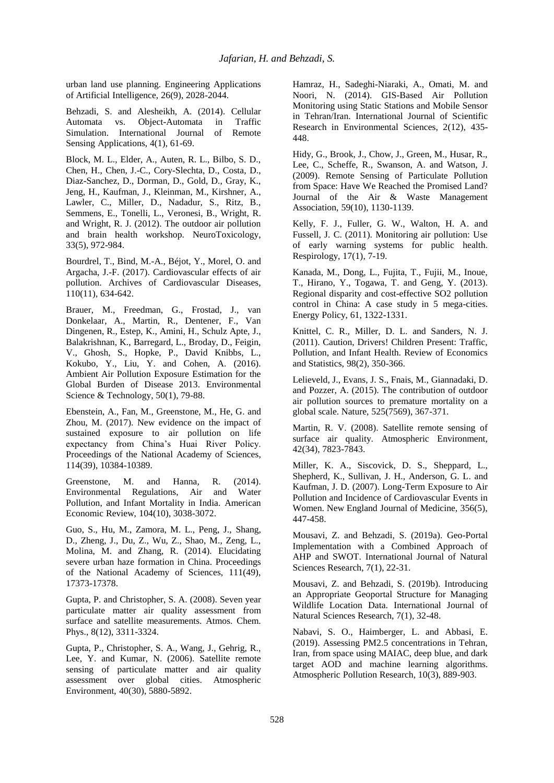urban land use planning. Engineering Applications of Artificial Intelligence, 26(9), 2028-2044.

Behzadi, S. and Alesheikh, A. (2014). Cellular Automata vs. Object-Automata in Traffic Simulation. International Journal of Remote Sensing Applications, 4(1), 61-69.

Block, M. L., Elder, A., Auten, R. L., Bilbo, S. D., Chen, H., Chen, J.-C., Cory-Slechta, D., Costa, D., Diaz-Sanchez, D., Dorman, D., Gold, D., Gray, K., Jeng, H., Kaufman, J., Kleinman, M., Kirshner, A., Lawler, C., Miller, D., Nadadur, S., Ritz, B., Semmens, E., Tonelli, L., Veronesi, B., Wright, R. and Wright, R. J. (2012). The outdoor air pollution and brain health workshop. NeuroToxicology, 33(5), 972-984.

Bourdrel, T., Bind, M.-A., Béjot, Y., Morel, O. and Argacha, J.-F. (2017). Cardiovascular effects of air pollution. Archives of Cardiovascular Diseases, 110(11), 634-642.

Brauer, M., Freedman, G., Frostad, J., van Donkelaar, A., Martin, R., Dentener, F., Van Dingenen, R., Estep, K., Amini, H., Schulz Apte, J., Balakrishnan, K., Barregard, L., Broday, D., Feigin, V., Ghosh, S., Hopke, P., David Knibbs, L., Kokubo, Y., Liu, Y. and Cohen, A. (2016). Ambient Air Pollution Exposure Estimation for the Global Burden of Disease 2013. Environmental Science & Technology, 50(1), 79-88.

Ebenstein, A., Fan, M., Greenstone, M., He, G. and Zhou, M. (2017). New evidence on the impact of sustained exposure to air pollution on life expectancy from China's Huai River Policy. Proceedings of the National Academy of Sciences, 114(39), 10384-10389.

Greenstone, M. and Hanna, R. (2014). Environmental Regulations, Air and Water Pollution, and Infant Mortality in India. American Economic Review, 104(10), 3038-3072.

Guo, S., Hu, M., Zamora, M. L., Peng, J., Shang, D., Zheng, J., Du, Z., Wu, Z., Shao, M., Zeng, L., Molina, M. and Zhang, R. (2014). Elucidating severe urban haze formation in China. Proceedings of the National Academy of Sciences, 111(49), 17373-17378.

Gupta, P. and Christopher, S. A. (2008). Seven year particulate matter air quality assessment from surface and satellite measurements. Atmos. Chem. Phys., 8(12), 3311-3324.

Gupta, P., Christopher, S. A., Wang, J., Gehrig, R., Lee, Y. and Kumar, N. (2006). Satellite remote sensing of particulate matter and air quality assessment over global cities. Atmospheric Environment, 40(30), 5880-5892.

Hamraz, H., Sadeghi-Niaraki, A., Omati, M. and Noori, N. (2014). GIS-Based Air Pollution Monitoring using Static Stations and Mobile Sensor in Tehran/Iran. International Journal of Scientific Research in Environmental Sciences, 2(12), 435- 448.

Hidy, G., Brook, J., Chow, J., Green, M., Husar, R., Lee, C., Scheffe, R., Swanson, A. and Watson, J. (2009). Remote Sensing of Particulate Pollution from Space: Have We Reached the Promised Land? Journal of the Air & Waste Management Association, 59(10), 1130-1139.

Kelly, F. J., Fuller, G. W., Walton, H. A. and Fussell, J. C. (2011). Monitoring air pollution: Use of early warning systems for public health. Respirology, 17(1), 7-19.

Kanada, M., Dong, L., Fujita, T., Fujii, M., Inoue, T., Hirano, Y., Togawa, T. and Geng, Y. (2013). Regional disparity and cost-effective SO2 pollution control in China: A case study in 5 mega-cities. Energy Policy, 61, 1322-1331.

Knittel, C. R., Miller, D. L. and Sanders, N. J. (2011). Caution, Drivers! Children Present: Traffic, Pollution, and Infant Health. Review of Economics and Statistics, 98(2), 350-366.

Lelieveld, J., Evans, J. S., Fnais, M., Giannadaki, D. and Pozzer, A. (2015). The contribution of outdoor air pollution sources to premature mortality on a global scale. Nature, 525(7569), 367-371.

Martin, R. V. (2008). Satellite remote sensing of surface air quality. Atmospheric Environment, 42(34), 7823-7843.

Miller, K. A., Siscovick, D. S., Sheppard, L., Shepherd, K., Sullivan, J. H., Anderson, G. L. and Kaufman, J. D. (2007). Long-Term Exposure to Air Pollution and Incidence of Cardiovascular Events in Women. New England Journal of Medicine, 356(5), 447-458.

Mousavi, Z. and Behzadi, S. (2019a). Geo-Portal Implementation with a Combined Approach of AHP and SWOT. International Journal of Natural Sciences Research, 7(1), 22-31.

Mousavi, Z. and Behzadi, S. (2019b). Introducing an Appropriate Geoportal Structure for Managing Wildlife Location Data. International Journal of Natural Sciences Research, 7(1), 32-48.

Nabavi, S. O., Haimberger, L. and Abbasi, E. (2019). Assessing PM2.5 concentrations in Tehran, Iran, from space using MAIAC, deep blue, and dark target AOD and machine learning algorithms. Atmospheric Pollution Research, 10(3), 889-903.